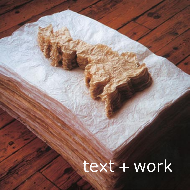# text + work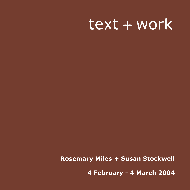# text + work

**Rosemary Miles + Susan Stockwell**

**4 February - 4 March 2004**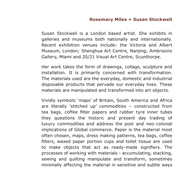#### **Rosemary Miles + Susan Stockwell**

Susan Stockwell is a London based artist. She exhibits in galleries and museums both nationally and internationally. Recent exhibition venues include: the Victoria and Albert Museum, London; Shenghua Art Centre, Nanjing; Ambrosino Gallery, Miami and 20/21 Visual Art Centre, Scunthorpe.

Her work takes the form of drawings, collage, sculpture and installation. It is primarily concerned with transformation. The materials used are the everyday, domestic and industrial disposable products that pervade our everyday lives. These materials are manipulated and transformed into art objects.

Vividly symbolic 'maps' of Britain, South America and Africa are literally 'stitched up' commodities – constructed from tea bags, coffee filter papers and rubber tyre inner tubes they questions the historic and present day trading of luxury commodities and address the post and neo-colonial implications of Global commerce. Paper is the material most often chosen, maps, dress making patterns, tea bags, coffee filters, waxed paper portion cups and toilet tissue are used to make objects that act as ready-made signifiers. The processes of working with materials - accumulating, stacking, sewing and quilting manipulate and transform, sometimes minimally affecting the material in sensitive and subtle ways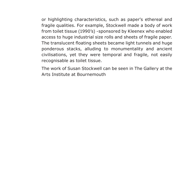or highlighting characteristics, such as paper's ethereal and fragile qualities. For example, Stockwell made a body of work from toilet tissue (1990's) -sponsored by Kleenex who enabled access to huge industrial size rolls and sheets of fragile paper. The translucent floating sheets became light tunnels and huge ponderous stacks, alluding to monumentality and ancient civilisations, yet they were temporal and fragile, not easily recognisable as toilet tissue.

The work of Susan Stockwell can be seen in The Gallery at the Arts Institute at Bournemouth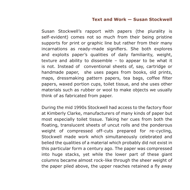#### **Text and Work — Susan Stockwell**

Susan Stockwell's rapport with papers (the plurality is self-evident) comes not so much from their being pristine supports for print or graphic line but rather from their many incarnations as ready-made signifiers. She both explores and exploits paper's qualities of daily familiarity, weight, texture and ability to dissemble – to appear to be what it is not. Instead of conventional sheets of, say, cartridge or handmade paper, she uses pages from books, old prints, maps, dressmaking pattern papers, tea bags, coffee filter papers, waxed portion cups, toilet tissue, and she uses other materials such as rubber or wool to make objects we usually think of as fabricated from paper.

During the mid 1990s Stockwell had access to the factory floor at Kimberly Clarke, manufacturers of many kinds of paper but most especially toilet tissue. Taking her cues from both the floating, translucent sheets of uncut rolls and the ponderous weight of compressed off-cuts prepared for re-cycling, Stockwell made work which simultaneously celebrated and belied the qualities of a material which probably did not exist in this particular form a century ago. The paper was compressed into huge stacks, yet while the lower part of these giant columns became almost rock-like through the sheer weight of the paper piled above, the upper reaches retained a fly away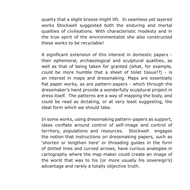quality that a slight breeze might lift. In seamless yet layered works Stockwell suggested both the enduring and mortal qualities of civilisations. With characteristic modesty and in the true spirit of the environmentalist she also constructed these works to be recyclable!

A significant extension of this interest in domestic papers their ephemeral, archaeological and sculptural qualities, as well as that of being taken for granted (what, for example, could be more humble that a sheet of toilet tissue!?) - is an interest in maps and dressmaking. Maps are essentially flat paper works, as are pattern-papers - which through the dressmaker's hand provide a wonderfully sculptural project in dress itself. The patterns are a way of mapping the body, and could be read as dictating, or at very least suggesting, the ideal form which we should take.

In some works, using dressmaking pattern-papers as support, ideas conflate around control of self-image and control of territory, populations and resources. Stockwell engages the notion that instructions on dressmaking papers, such as 'shorten or lengthen here' or threading guides in the form of dotted lines and curved arrows, have curious analogies in cartography where the map maker could create an image of the world that was to his (or more usually his sovereign's) advantage and rarely a totally objective truth.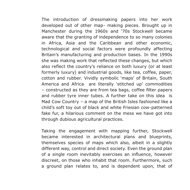The introduction of dressmaking papers into her work developed out of other map- making pieces. Brought up in Manchester during the 1960s and '70s Stockwell became aware that the granting of independence to so many colonies in Africa, Asia and the Caribbean and other economic, technological and social factors were profoundly affecting Britain's manufacturing and production bases. In the 1990s she was making work that reflected these changes, but which also reflect the country's reliance on both luxury (or at least formerly luxury) and industrial goods, like tea, coffee, paper, cotton and rubber. Vividly symbolic 'maps' of Britain, South America and Africa are literally 'stitched up' commodities – constructed as they are from tea bags, coffee filter papers and rubber tyre inner tubes. A further take on this idea is Mad Cow Country – a map of the British Isles fashioned like a child's soft toy out of black and white Friesian cow-patterned fake fur, a hilarious comment on the mess we have got into through dubious agricultural practices.

Taking the engagement with mapping further, Stockwell became interested in architectural plans and blueprints, themselves species of maps which also, albeit in a slightly different way, control and direct society. Even the ground plan of a single room inevitably exercises an influence, however discreet, on those who inhabit that room. Furthermore, such a ground plan relates to, and is dependent upon, that of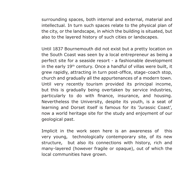surrounding spaces, both internal and external, material and intellectual. In turn such spaces relate to the physical plan of the city, or the landscape, in which the building is situated, but also to the layered history of such cities or landscapes.

Until 1837 Bournemouth did not exist but a pretty location on the South Coast was seen by a local entrepreneur as being a perfect site for a seaside resort - a fashionable development in the early  $19<sup>th</sup>$  century. Once a handful of villas were built, it grew rapidly, attracting in turn post-office, stage-coach stop, church and gradually all the appurtenances of a modern town. Until very recently tourism provided its principal income, but this is gradually being overtaken by service industries, particularly to do with finance, insurance, and housing. Nevertheless the University, despite its youth, is a seat of learning and Dorset itself is famous for its 'Jurassic Coast', now a world heritage site for the study and enjoyment of our geological past.

Implicit in the work seen here is an awareness of this very young, technologically contemporary site, of its new structure, but also its connections with history, rich and many-layered (however fragile or opaque), out of which the local communities have grown.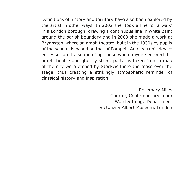Definitions of history and territory have also been explored by the artist in other ways. In 2002 she 'took a line for a walk' in a London borough, drawing a continuous line in white paint around the parish boundary and in 2003 she made a work at Bryanston where an amphitheatre, built in the 1930s by pupils of the school, is based on that of Pompeii. An electronic device eerily set up the sound of applause when anyone entered the amphitheatre and ghostly street patterns taken from a map of the city were etched by Stockwell into the moss over the stage, thus creating a strikingly atmospheric reminder of classical history and inspiration.

> Rosemary Miles Curator, Contemporary Team Word & Image Department Victoria & Albert Museum, London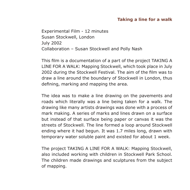### **Taking a line for a walk**

Experimental Film - 12 minutes Susan Stockwell, London July 2002 Collaboration – Susan Stockwell and Polly Nash

This film is a documentation of a part of the project TAKING A LINE FOR A WALK: Mapping Stockwell, which took place in July 2002 during the Stockwell Festival. The aim of the film was to draw a line around the boundary of Stockwell in London, thus defining, marking and mapping the area.

The idea was to make a line drawing on the pavements and roads which literally was a line being taken for a walk. The drawing like many artists drawings was done with a process of mark making. A series of marks and lines drawn on a surface but instead of that surface being paper or canvas it was the streets of Stockwell. The line formed a loop around Stockwell ending where it had begun. It was 1.7 miles long, drawn with temporary water soluble paint and existed for about 1 week.

The project TAKING A LINE FOR A WALK: Mapping Stockwell, also included working with children in Stockwell Park School. The children made drawings and sculptures from the subject of mapping.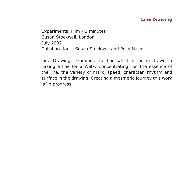## **Line Drawing**

Experimental Film - 3 minutes Susan Stockwell, London July 2002 Collaboration – Susan Stockwell and Polly Nash

Line Drawing, examines the line which is being drawn in Taking a line for a Walk. Concentrating on the essence of the line, the variety of mark, speed, character, rhythm and surface in the drawing. Creating a mesmeric journey this work is 'in progress'.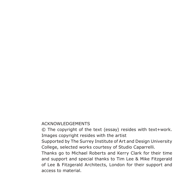#### ACKNOWLEDGEMENTS

© The copyright of the text (essay) resides with text+work. Images copyright resides with the artist

Supported by The Surrey Institute of Art and Design University College, selected works courtesy of Studio Caparrelli.

Thanks go to Michael Roberts and Kerry Clark for their time and support and special thanks to Tim Lee & Mike Fitzgerald of Lee & Fitzgerald Architects, London for their support and access to material.